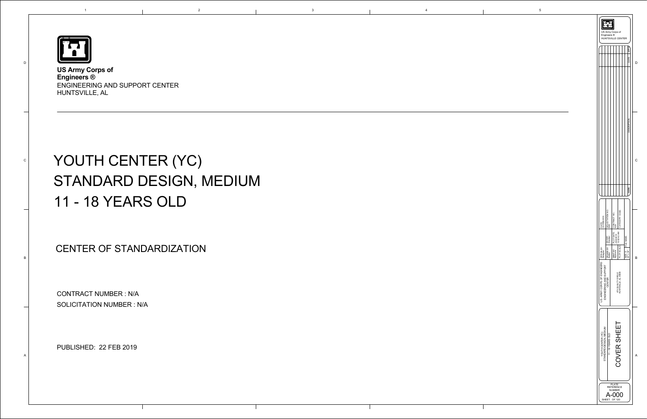

D

C

B

A

1

**US Army Corps of Engineers ®** ENGINEERING AND SUPPORT CENTER HUNTSVILLE, AL

|                                                                         | Engineers ®              | US Army Corps of<br><b>HUNTSVILLE CENTER</b> |                                            |                             |   |  |
|-------------------------------------------------------------------------|--------------------------|----------------------------------------------|--------------------------------------------|-----------------------------|---|--|
|                                                                         |                          |                                              |                                            | <b>APPR</b><br>DATE         |   |  |
|                                                                         |                          |                                              |                                            | DESCI                       |   |  |
|                                                                         |                          |                                              |                                            | <b>MARK</b>                 | C |  |
| DATE:<br>22 FEB 2019                                                    | SOLICITATION NO.:<br>N/A | PLOT DATE: CONTRACT NO.:<br>2/22/2019 N/A    | CATEGORY CODE:                             |                             |   |  |
|                                                                         | BY: CKD BY:<br>Checker   | $\frac{2/22}{200}$<br>$\frac{2}{242}$ AM     |                                            | FILE NAME:                  |   |  |
| y∴<br>B<br>Designer<br><b>DESIGN</b>                                    | DRAWN E<br>Author        | SBMT BY:<br>Approver                         | PLOT SCALE:                                | $22" \times 34"$<br>SIZE: D | B |  |
| U.S. ARMY CORPS OF ENGINEERS<br>ENGINEERING AND SUPPORT                 | CENTER                   |                                              | 475 QUALITY CIRCLE<br>HUNTSVILLE, AL 35806 |                             |   |  |
| STANDARD DESIGN, MEDIUM<br>YOUTH CENTER (YC)                            | 11 - 18 YEARS OLD        |                                              | COVER SHEET                                |                             | A |  |
| <b>PLATE</b><br><b>REFERENCE</b><br>NUMBER<br>( )( )<br>OF 120<br>SHEET |                          |                                              |                                            |                             |   |  |

# YOUTH CENTER (YC) STANDARD DESIGN, MEDIUM 11 - 18 YEARS OLD

CONTRACT NUMBER : N/A SOLICITATION NUMBER : N/A

PUBLISHED: 22 FEB 2019

## CENTER OF STANDARDIZATION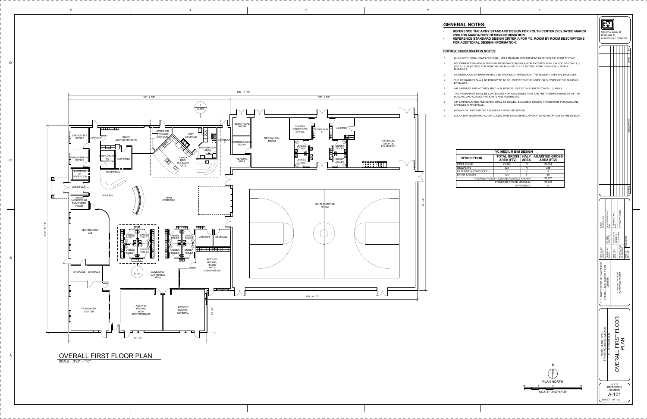|                    |    | SТА |                                        |
|--------------------|----|-----|----------------------------------------|
| <b>PLAN NORTH</b>  |    |     |                                        |
| 16<br>8            | 16 |     | <b>PLATE</b><br><b>REFERENCE</b>       |
|                    |    |     | <b>NUMBER</b>                          |
| SCALE: 3/32"=1'-0" |    |     | $\begin{array}{c} \bullet \end{array}$ |

| <b>GENERAL NOTES:</b><br>REFERENCE THE ARMY STANDARD DESIGN FOR YOUTH CENTER (YC) DATED MARCH<br><b>2008 FOR MANDATORY DESIGN INFORMATION.</b><br>REFERENCE STANDARD DESIGN CRITERIA FOR YC, ROOM BY ROOM DESCRIPTIONS<br>FOR ADDITIONAL DESIGN INFORMATION. |                                              |                            |                                            |    |                                              | Engineers ®                       | US Army Corps of<br><b>HUNTSVILLE CENTER</b> |                                    |  |
|--------------------------------------------------------------------------------------------------------------------------------------------------------------------------------------------------------------------------------------------------------------|----------------------------------------------|----------------------------|--------------------------------------------|----|----------------------------------------------|-----------------------------------|----------------------------------------------|------------------------------------|--|
| <u>ENERGY CONSERVATION NOTES:</u>                                                                                                                                                                                                                            |                                              |                            |                                            |    |                                              |                                   |                                              |                                    |  |
| BUILDING THERMAL ENVELOPE SHALL MEET MINIMUM REQUIREMENT BASED ON THE CLIMATE ZONE.                                                                                                                                                                          |                                              |                            |                                            |    |                                              |                                   |                                              |                                    |  |
| RECOMMENDED MINIMUM THERMAL RESISTANCE (R-VALUE) FOR EXTERIOR WALLS IN CDC 0-5 ZONE 1, 2<br>USE R-18 OR BETTER; FOR ZONE 3-6 USE R-VALUE 20.5 OR BETTER; ZONE 7 R-20.5-28.6; ZONE 8<br>R-20.5-30.5.                                                          |                                              |                            |                                            |    |                                              |                                   |                                              |                                    |  |
| A CONTINUOUS AIR BARRIER SHALL BE PROVIDED THROUGHOUT THE BUILDING THERMAL ENVELOPE.<br>THE AIR BARRIER SHALL BE PERMITTED TO BE LOCATED ON THE INSIDE OR OUTSIDE OF THE BUILDING<br>ENVELOPE.                                                               |                                              |                            |                                            |    |                                              |                                   |                                              |                                    |  |
| AIR BARRIERS ARE NOT REQUIRED IN BUILDINGS LOCATED IN CLIMATE ZONES 1, 2, AND 3.<br>THE AIR BARRIER SHALL BE CONTINUOUS FOR ASSEMBLIES THAT ARE THE THERMAL ENVELOPE OF THE                                                                                  |                                              |                            |                                            |    |                                              |                                   |                                              |                                    |  |
| BUILDING AND ACROSS THE JOINTS AND ASSEMBLIES.<br>AIR BARRIER JOINTS AND SEAMS SHALL BE SEALED, INCLUDING SEALING TRANSITIONS IN PLACES AND<br><b>CHANGES IN MATERIALS.</b>                                                                                  |                                              |                            |                                            |    |                                              |                                   |                                              |                                    |  |
| BREAKS OR JOINTS IN THE AIR BARRIER SHALL BE SEALED.<br>SOLAR HOT WATER AND SOLAR COLLECTORS SHALL BE INCORPORATED AS AN OPTION TO THE DESIGN.                                                                                                               |                                              |                            |                                            |    |                                              |                                   |                                              |                                    |  |
|                                                                                                                                                                                                                                                              |                                              |                            |                                            |    |                                              |                                   |                                              |                                    |  |
|                                                                                                                                                                                                                                                              | <b>YC MEDIUM BIM DESIGN</b>                  |                            |                                            |    |                                              |                                   |                                              |                                    |  |
| <b>DESCRIPTION</b>                                                                                                                                                                                                                                           | <b>TOTAL GROSS</b><br>AREA (FT2)             | <b>HALF</b><br><b>AREA</b> | <b>ADJUSTED GROSS</b><br><b>AREA (FT2)</b> |    |                                              |                                   |                                              |                                    |  |
| <b>FIRST FLOOR</b>                                                                                                                                                                                                                                           | 20,503                                       | N                          | 20,503                                     |    |                                              |                                   |                                              |                                    |  |
| <b>MEZZANINE</b><br>EXTERIOR ALCOVE-SOUTH                                                                                                                                                                                                                    | 325<br>18                                    | N<br>Y                     | 325<br>9                                   |    |                                              |                                   |                                              |                                    |  |
| <b>ENTRY CANOPY</b>                                                                                                                                                                                                                                          | 120<br>OVERALL FACILITY SQUARE FOOTAGE SHOWN | Y                          | 60<br>20,897                               |    |                                              |                                   |                                              |                                    |  |
|                                                                                                                                                                                                                                                              | STANDARD DESIGN MAXIMUM                      | <b>DIFFERENCE</b>          | 20,969<br>72                               |    |                                              |                                   |                                              |                                    |  |
|                                                                                                                                                                                                                                                              |                                              |                            |                                            |    | DATE:<br>22 FEB 2019                         | 9<br>N<br>SOLICITATION<br>N/A     | CONTRACT NO.:                                | CATEGORY CODE:                     |  |
|                                                                                                                                                                                                                                                              |                                              |                            |                                            |    |                                              | CKD BY:<br>XXX YYY                | PLOT DATE:<br>2/22/2019<br>10:02:45 AM       |                                    |  |
|                                                                                                                                                                                                                                                              |                                              |                            |                                            |    | ESIGN BY:<br>X YYY<br>Жă                     | DRAWN BY:<br>Author               | SBMT BY:<br>XXX YYY                          | -OT SCALE:<br>s indicated<br>E Les |  |
|                                                                                                                                                                                                                                                              |                                              |                            |                                            |    | U.S. ARMY CORPS OF ENGINEERS                 | ENGINEERING AND SUPPORT<br>CENTER | 475 QUALITY CIRCLE<br>HUNTSVILLE, AL 35806   |                                    |  |
|                                                                                                                                                                                                                                                              |                                              |                            |                                            |    |                                              |                                   |                                              |                                    |  |
|                                                                                                                                                                                                                                                              |                                              |                            |                                            |    |                                              | 11 - 18 YEARS OLD                 | OVERALL FIRST FLOOR                          | PLAN                               |  |
|                                                                                                                                                                                                                                                              |                                              |                            | ${\sf N}$                                  |    | YOUTH CENTER (YC)<br>STANDARD DESIGN, MEDIUM |                                   |                                              |                                    |  |
|                                                                                                                                                                                                                                                              |                                              | 16                         | <b>PLAN NORTH</b><br>8<br>0                | 16 |                                              |                                   | <b>PLATE</b><br><b>REFERENCE</b>             |                                    |  |



| <b>YC MEDIUM BIM DESIGN</b>           |                                         |                            |                                            |  |  |  |  |  |
|---------------------------------------|-----------------------------------------|----------------------------|--------------------------------------------|--|--|--|--|--|
| TION                                  | <b>TOTAL GROSS</b><br><b>AREA (FT2)</b> | <b>HALF</b><br><b>AREA</b> | <b>ADJUSTED GROSS</b><br><b>AREA (FT2)</b> |  |  |  |  |  |
|                                       | 20,503                                  | N                          | 20,503                                     |  |  |  |  |  |
|                                       | 325                                     | N                          | 325                                        |  |  |  |  |  |
| OVE-SOUTH                             | 18                                      | v                          | 9                                          |  |  |  |  |  |
| Υ                                     | 120                                     |                            | 60                                         |  |  |  |  |  |
| OVERALL FACILITY SQUARE FOOTAGE SHOWN | 20,897                                  |                            |                                            |  |  |  |  |  |
| 20,969<br>STANDARD DESIGN MAXIMUM     |                                         |                            |                                            |  |  |  |  |  |
|                                       |                                         | <b>DIFFERENCE</b>          | 72                                         |  |  |  |  |  |

5





2

A-101

SHEET OF 120

## **GENERAL NOTES:**

| ٠         | <b>REFERENCE T</b>  |
|-----------|---------------------|
|           | <b>2008 FOR MAN</b> |
| $\bullet$ | <b>REFERENCE S</b>  |
|           | <b>FOR ADDITION</b> |

| 1.             | <b>BUILDING THERMA</b>                            |
|----------------|---------------------------------------------------|
| 2.             | RECOMMENDED N<br>USE R-18 OR BETT<br>R-20.5-30.5. |
| 3.             | A CONTINUOUS AI                                   |
| $\mathbf{4}$ . | THE AIR BARRIER<br>ENVELOPE.                      |
| 5.             | <b>AIR BARRIERS ARI</b>                           |
| 6.             | THE AIR BARRIER<br><b>BUILDING AND AC</b>         |
| 7.             | <b>AIR BARRIER JOIN</b><br><b>CHANGES IN MATE</b> |
| 8.             | <b>BREAKS OR JOINT</b>                            |
| 9.             | <b>SOLAR HOT WATE</b>                             |
|                |                                                   |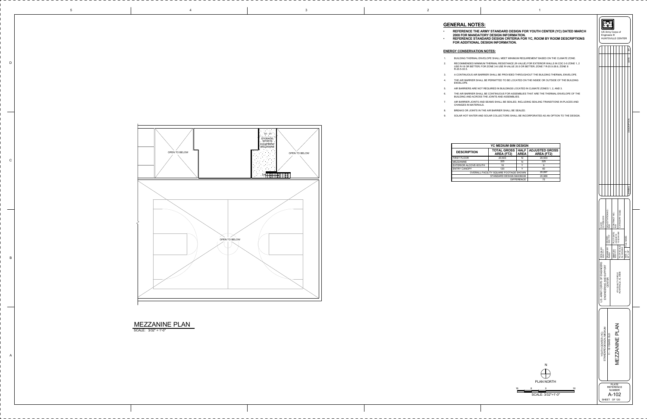N $\begin{array}{c} \begin{array}{c} \end{array} \end{array}$ PLAN NORTH 8 16 0<u> a shekara ta 1991 a shekara ta 1991 a shekara ta 1991 a shekara ta 1991 a shekara ta 1991 a 1991 a shekara t</u>

| <b>YC MEDIUM BIM DESIGN</b>           |                                         |                            |                                            |  |  |  |  |
|---------------------------------------|-----------------------------------------|----------------------------|--------------------------------------------|--|--|--|--|
| <b>DESCRIPTION</b>                    | <b>TOTAL GROSS</b><br><b>AREA (FT2)</b> | <b>HALF</b><br><b>AREA</b> | <b>ADJUSTED GROSS</b><br><b>AREA (FT2)</b> |  |  |  |  |
| <b>FIRST FLOOR</b>                    | 20,503                                  | N                          | 20,503                                     |  |  |  |  |
| <b>MEZZANINE</b>                      | 325                                     | N                          | 325                                        |  |  |  |  |
| EXTERIOR ALCOVE-SOUTH                 | 18                                      |                            | 9                                          |  |  |  |  |
| <b>ENTRY CANOPY</b>                   | 120                                     | ◡                          | 60                                         |  |  |  |  |
| OVERALL FACILITY SQUARE FOOTAGE SHOWN | 20,897                                  |                            |                                            |  |  |  |  |
|                                       | 20,969                                  |                            |                                            |  |  |  |  |
|                                       |                                         | <b>DIFFERENCE</b>          | 72                                         |  |  |  |  |

SCALE: 3/32"=1'-0"

16

5

| $\begin{array}{ c c c }\n\hline\n\text{3} & \text{2} \\ \hline\n\end{array}$ |  |  |  |
|------------------------------------------------------------------------------|--|--|--|



D

C

B

A

MAL ENVELOPE SHALL MEET MINIMUM REQUIREMENT BASED ON THE CLIMATE ZONE. RECOMMENDED MINIMUM THERMAL RESISTANCE (R-VALUE) FOR EXTERIOR WALLS IN CDC 0-5 ZONE 1, 2 USE R-18 OR BETTER; FOR ZONE 3-6 USE R-VALUE 20.5 OR BETTER; ZONE 7 R-20.5-28.6; ZONE 8

SHEET OF 120

 **REFERENCE THE ARMY STANDARD DESIGN FOR YOUTH CENTER (YC) DATED MARCH 2008 FOR MANDATORY DESIGN INFORMATION. REFERIGARD DESIGN CRITERIA FOR YC, ROOM BY ROOM DESCRIPTIONS FAL DESIGN INFORMATION.** 

## **ENERGY CONSERVATION NOTES:**

A CONTINUOUS AIR BARRIER SHALL BE PROVIDED THROUGHOUT THE BUILDING THERMAL ENVELOPE. THE AIR BARRIER SHALL BE PERMITTED TO BE LOCATED ON THE INSIDE OR OUTSIDE OF THE BUILDING

RE NOT REQUIRED IN BUILDINGS LOCATED IN CLIMATE ZONES 1, 2, AND 3.

THE AIR BARRIER SHALL BE CONTINUOUS FOR ASSEMBLIES THAT ARE THE THERMAL ENVELOPE OF THE BUILDING AND ACROSS THE JOINTS AND ASSEMBLIES.

INTS AND SEAMS SHALL BE SEALED, INCLUDING SEALING TRANSITIONS IN PLACES AND

| $\mathbf 1$ .    | <b>BUILDING THERMAL ENVI</b>                                  |
|------------------|---------------------------------------------------------------|
| 2.               | RECOMMENDED MINIMUM<br>USE R-18 OR BETTER: FO<br>R-20.5-30.5. |
| 3.               | A CONTINUOUS AIR BARF                                         |
| $\overline{4}$ . | THE AIR BARRIER SHALL<br>ENVELOPE.                            |
| 5.               | AIR BARRIERS ARE NOT I                                        |
| 6.               | THE AIR BARRIER SHALL<br>BUILDING AND ACROSS T                |
| $\overline{7}$ . | AIR BARRIER JOINTS AND<br><b>CHANGES IN MATERIALS.</b>        |
| 8.               | <b>BREAKS OR JOINTS IN TH</b>                                 |
| 9.               | SOLAR HOT WATER AND                                           |

BREAKS OR JOINTS IN THE AIR BARRIER SHALL BE SEALED.

SOLAR HOT WATER AND SOLAR COLLECTORS SHALL BE INCORPORATED AS AN OPTION TO THE DESIGN.

|                                                         | US Army Corps of<br>Engineers ®<br><b>HUNTSVILLE CENTER</b> |                                                      |                |                                            |                      |                                 |
|---------------------------------------------------------|-------------------------------------------------------------|------------------------------------------------------|----------------|--------------------------------------------|----------------------|---------------------------------|
|                                                         |                                                             |                                                      |                |                                            |                      | ≧                               |
|                                                         |                                                             |                                                      |                |                                            |                      | DATE                            |
|                                                         |                                                             |                                                      |                |                                            |                      | <b>DESCRIPTION</b>              |
|                                                         |                                                             |                                                      |                |                                            |                      | SYMBOL                          |
| DATE:<br>22 FEB 2019                                    | SOLICITATION NO.:<br>N/A                                    |                                                      |                |                                            |                      |                                 |
| DESIGN BY:<br>XXX YYY                                   | DRAWN BY: CKD BY:<br>Author XXX YYY                         |                                                      |                |                                            | SIZE: D   FILE NAME: | $x \approx 34$ "<br>$\tilde{2}$ |
| U.S. ARMY CORPS OF ENGINEERS<br>ENGINEERING AND SUPPORT | CENTER                                                      |                                                      |                | 475 QUALITY CIRCLE<br>HUNTSVILLE, AL 35806 |                      |                                 |
| STANDARD DESIGN, MEDIUM<br>YOUTH CENTER (YC)            | 11 - 18 YEARS OLD                                           |                                                      | MEZZANINE PLAN |                                            |                      |                                 |
|                                                         |                                                             | <b>PLATE</b><br><b>REFERENCE</b><br>NUMBER<br>$-102$ |                |                                            |                      |                                 |

## **GENERAL NOTES:**

|  | VEREIVRE ITV I                              |
|--|---------------------------------------------|
|  | <b>REFERENCE TH</b><br>2008 FOR MAND        |
|  | <b>REFERENCE ST</b><br><b>FOR ADDITIONA</b> |
|  |                                             |